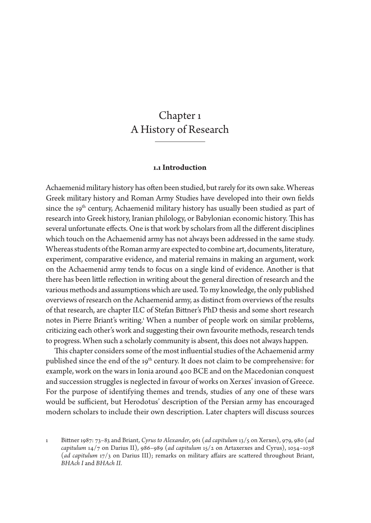# Chapter 1 A History of Research

## **1.1 Introduction**

Achaemenid military history has often been studied, but rarely for its own sake. Whereas Greek military history and Roman Army Studies have developed into their own fields since the 19<sup>th</sup> century, Achaemenid military history has usually been studied as part of research into Greek history, Iranian philology, or Babylonian economic history. This has several unfortunate effects. One is that work by scholars from all the different disciplines which touch on the Achaemenid army has not always been addressed in the same study. Whereas students of the Roman army are expected to combine art, documents, literature, experiment, comparative evidence, and material remains in making an argument, work on the Achaemenid army tends to focus on a single kind of evidence. Another is that there has been little reflection in writing about the general direction of research and the various methods and assumptions which are used. To my knowledge, the only published overviews of research on the Achaemenid army, as distinct from overviews of the results of that research, are chapter II.C of Stefan Bittner's PhD thesis and some short research notes in Pierre Briant's writing.1 When a number of people work on similar problems, criticizing each other's work and suggesting their own favourite methods, research tends to progress. When such a scholarly community is absent, this does not always happen.

This chapter considers some of the most influential studies of the Achaemenid army published since the end of the 19<sup>th</sup> century. It does not claim to be comprehensive: for example, work on the wars in Ionia around 400 BCE and on the Macedonian conquest and succession struggles is neglected in favour of works on Xerxes' invasion of Greece. For the purpose of identifying themes and trends, studies of any one of these wars would be sufficient, but Herodotus' description of the Persian army has encouraged modern scholars to include their own description. Later chapters will discuss sources

<sup>1</sup> Bittner 1987: 73–83 and Briant, *Cyrus to Alexander*, 961 (*ad capitulum* 13/5 on Xerxes), 979, 980 (*ad capitulum* 14/7 on Darius II), 986–989 (*ad capitulum* 15/2 on Artaxerxes and Cyrus), 1034–1038 (*ad capitulum* 17/3 on Darius III); remarks on military affairs are scattered throughout Briant, *BHAch I* and *BHAch II*.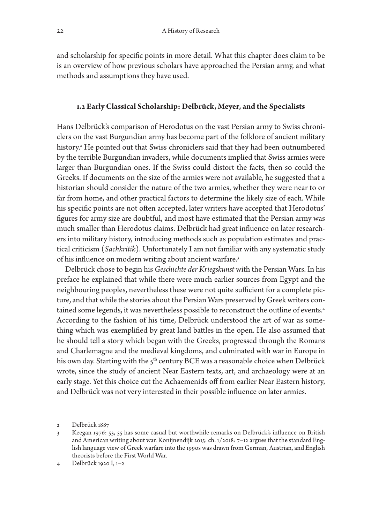and scholarship for specific points in more detail. What this chapter does claim to be is an overview of how previous scholars have approached the Persian army, and what methods and assumptions they have used.

## **1.2 Early Classical Scholarship: Delbrück, Meyer, and the Specialists**

Hans Delbrück's comparison of Herodotus on the vast Persian army to Swiss chroniclers on the vast Burgundian army has become part of the folklore of ancient military history.2 He pointed out that Swiss chroniclers said that they had been outnumbered by the terrible Burgundian invaders, while documents implied that Swiss armies were larger than Burgundian ones. If the Swiss could distort the facts, then so could the Greeks. If documents on the size of the armies were not available, he suggested that a historian should consider the nature of the two armies, whether they were near to or far from home, and other practical factors to determine the likely size of each. While his specific points are not often accepted, later writers have accepted that Herodotus' figures for army size are doubtful, and most have estimated that the Persian army was much smaller than Herodotus claims. Delbrück had great influence on later researchers into military history, introducing methods such as population estimates and practical criticism (*Sachkritik*). Unfortunately I am not familiar with any systematic study of his influence on modern writing about ancient warfare.<sup>3</sup>

Delbrück chose to begin his *Geschichte der Kriegskunst* with the Persian Wars. In his preface he explained that while there were much earlier sources from Egypt and the neighbouring peoples, nevertheless these were not quite sufficient for a complete picture, and that while the stories about the Persian Wars preserved by Greek writers contained some legends, it was nevertheless possible to reconstruct the outline of events.<sup>4</sup> According to the fashion of his time, Delbrück understood the art of war as something which was exemplified by great land battles in the open. He also assumed that he should tell a story which began with the Greeks, progressed through the Romans and Charlemagne and the medieval kingdoms, and culminated with war in Europe in his own day. Starting with the  $5<sup>th</sup>$  century BCE was a reasonable choice when Delbrück wrote, since the study of ancient Near Eastern texts, art, and archaeology were at an early stage. Yet this choice cut the Achaemenids off from earlier Near Eastern history, and Delbrück was not very interested in their possible influence on later armies.

<sup>2</sup> Delbrück 1887

<sup>3</sup> Keegan 1976: 53, 55 has some casual but worthwhile remarks on Delbrück's influence on British and American writing about war. Konijnendijk 2015: ch. 1/2018: 7–12 argues that the standard English language view of Greek warfare into the 1990s was drawn from German, Austrian, and English theorists before the First World War.

<sup>4</sup> Delbrück 1920 I, 1–2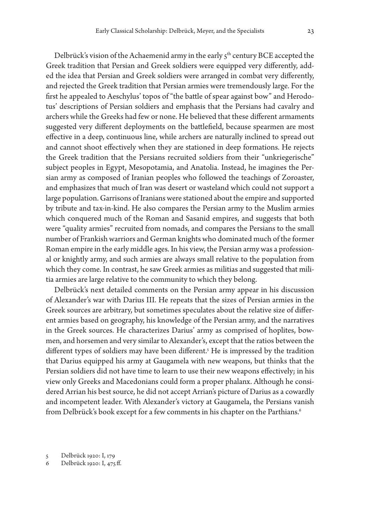Delbrück's vision of the Achaemenid army in the early  $5<sup>th</sup>$  century BCE accepted the Greek tradition that Persian and Greek soldiers were equipped very differently, added the idea that Persian and Greek soldiers were arranged in combat very differently, and rejected the Greek tradition that Persian armies were tremendously large. For the first he appealed to Aeschylus' topos of "the battle of spear against bow" and Herodotus' descriptions of Persian soldiers and emphasis that the Persians had cavalry and archers while the Greeks had few or none. He believed that these different armaments suggested very different deployments on the battlefield, because spearmen are most effective in a deep, continuous line, while archers are naturally inclined to spread out and cannot shoot effectively when they are stationed in deep formations. He rejects the Greek tradition that the Persians recruited soldiers from their "unkriegerische" subject peoples in Egypt, Mesopotamia, and Anatolia. Instead, he imagines the Persian army as composed of Iranian peoples who followed the teachings of Zoroaster, and emphasizes that much of Iran was desert or wasteland which could not support a large population. Garrisons of Iranians were stationed about the empire and supported by tribute and tax-in-kind. He also compares the Persian army to the Muslim armies which conquered much of the Roman and Sasanid empires, and suggests that both were "quality armies" recruited from nomads, and compares the Persians to the small number of Frankish warriors and German knights who dominated much of the former Roman empire in the early middle ages. In his view, the Persian army was a professional or knightly army, and such armies are always small relative to the population from which they come. In contrast, he saw Greek armies as militias and suggested that militia armies are large relative to the community to which they belong.

Delbrück's next detailed comments on the Persian army appear in his discussion of Alexander's war with Darius III. He repeats that the sizes of Persian armies in the Greek sources are arbitrary, but sometimes speculates about the relative size of different armies based on geography, his knowledge of the Persian army, and the narratives in the Greek sources. He characterizes Darius' army as comprised of hoplites, bowmen, and horsemen and very similar to Alexander's, except that the ratios between the different types of soldiers may have been different.5 He is impressed by the tradition that Darius equipped his army at Gaugamela with new weapons, but thinks that the Persian soldiers did not have time to learn to use their new weapons effectively; in his view only Greeks and Macedonians could form a proper phalanx. Although he considered Arrian his best source, he did not accept Arrian's picture of Darius as a cowardly and incompetent leader. With Alexander's victory at Gaugamela, the Persians vanish from Delbrück's book except for a few comments in his chapter on the Parthians.<sup>6</sup>

5 Delbrück 1920: I, 179

6 Delbrück 1920: I, 475 ff.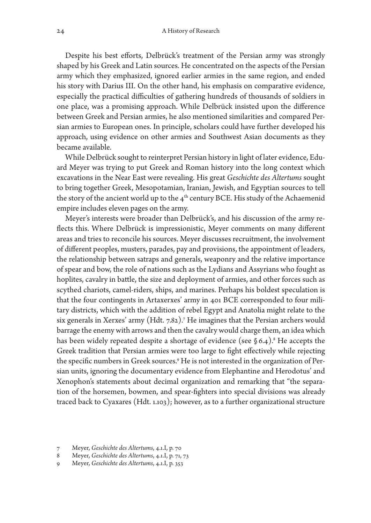Despite his best efforts, Delbrück's treatment of the Persian army was strongly shaped by his Greek and Latin sources. He concentrated on the aspects of the Persian army which they emphasized, ignored earlier armies in the same region, and ended his story with Darius III. On the other hand, his emphasis on comparative evidence, especially the practical difficulties of gathering hundreds of thousands of soldiers in one place, was a promising approach. While Delbrück insisted upon the difference between Greek and Persian armies, he also mentioned similarities and compared Persian armies to European ones. In principle, scholars could have further developed his approach, using evidence on other armies and Southwest Asian documents as they became available.

While Delbrück sought to reinterpret Persian history in light of later evidence, Eduard Meyer was trying to put Greek and Roman history into the long context which excavations in the Near East were revealing. His great *Geschichte des Altertums* sought to bring together Greek, Mesopotamian, Iranian, Jewish, and Egyptian sources to tell the story of the ancient world up to the 4<sup>th</sup> century BCE. His study of the Achaemenid empire includes eleven pages on the army.

Meyer's interests were broader than Delbrück's, and his discussion of the army reflects this. Where Delbrück is impressionistic, Meyer comments on many different areas and tries to reconcile his sources. Meyer discusses recruitment, the involvement of different peoples, musters, parades, pay and provisions, the appointment of leaders, the relationship between satraps and generals, weaponry and the relative importance of spear and bow, the role of nations such as the Lydians and Assyrians who fought as hoplites, cavalry in battle, the size and deployment of armies, and other forces such as scythed chariots, camel-riders, ships, and marines. Perhaps his boldest speculation is that the four contingents in Artaxerxes' army in 401 BCE corresponded to four military districts, which with the addition of rebel Egypt and Anatolia might relate to the six generals in Xerxes' army (Hdt. 7.82).7 He imagines that the Persian archers would barrage the enemy with arrows and then the cavalry would charge them, an idea which has been widely repeated despite a shortage of evidence (see § 6.4). $^8$  He accepts the Greek tradition that Persian armies were too large to fight effectively while rejecting the specific numbers in Greek sources.<sup>9</sup> He is not interested in the organization of Persian units, ignoring the documentary evidence from Elephantine and Herodotus' and Xenophon's statements about decimal organization and remarking that "the separation of the horsemen, bowmen, and spear-fighters into special divisions was already traced back to Cyaxares (Hdt. 1.103); however, as to a further organizational structure

<sup>7</sup> Meyer, *Geschichte des Altertums*, 4.1.I, p. 70

<sup>8</sup> Meyer, *Geschichte des Altertums*, 4.1.I, p. 71, 73

<sup>9</sup> Meyer, *Geschichte des Altertums*, 4.1.I, p. 353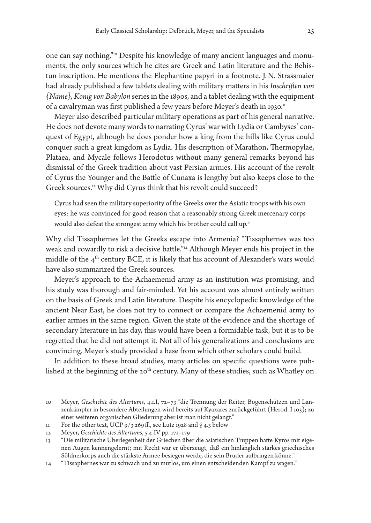one can say nothing."10 Despite his knowledge of many ancient languages and monuments, the only sources which he cites are Greek and Latin literature and the Behistun inscription. He mentions the Elephantine papyri in a footnote. J.N. Strassmaier had already published a few tablets dealing with military matters in his *Inschriften von {Name}, König von Babylon* series in the 1890s, and a tablet dealing with the equipment of a cavalryman was first published a few years before Meyer's death in 1930.<sup>11</sup>

Meyer also described particular military operations as part of his general narrative. He does not devote many words to narrating Cyrus' war with Lydia or Cambyses' conquest of Egypt, although he does ponder how a king from the hills like Cyrus could conquer such a great kingdom as Lydia. His description of Marathon, Thermopylae, Plataea, and Mycale follows Herodotus without many general remarks beyond his dismissal of the Greek tradition about vast Persian armies. His account of the revolt of Cyrus the Younger and the Battle of Cunaxa is lengthy but also keeps close to the Greek sources.<sup>12</sup> Why did Cyrus think that his revolt could succeed?

Cyrus had seen the military superiority of the Greeks over the Asiatic troops with his own eyes: he was convinced for good reason that a reasonably strong Greek mercenary corps would also defeat the strongest army which his brother could call up.13

Why did Tissaphernes let the Greeks escape into Armenia? "Tissaphernes was too weak and cowardly to risk a decisive battle."14 Although Meyer ends his project in the middle of the  $4<sup>th</sup>$  century BCE, it is likely that his account of Alexander's wars would have also summarized the Greek sources.

Meyer's approach to the Achaemenid army as an institution was promising, and his study was thorough and fair-minded. Yet his account was almost entirely written on the basis of Greek and Latin literature. Despite his encyclopedic knowledge of the ancient Near East, he does not try to connect or compare the Achaemenid army to earlier armies in the same region. Given the state of the evidence and the shortage of secondary literature in his day, this would have been a formidable task, but it is to be regretted that he did not attempt it. Not all of his generalizations and conclusions are convincing. Meyer's study provided a base from which other scholars could build.

In addition to these broad studies, many articles on specific questions were published at the beginning of the 20<sup>th</sup> century. Many of these studies, such as Whatley on

<sup>10</sup> Meyer, *Geschichte des Altertums*, 4.1.I, 72–73 "die Trennung der Reiter, Bogenschützen und Lanzenkämpfer in besondere Abteilungen wird bereits auf Kyaxares zurückgeführt (Herod. I 103); zu einer weiteren organischen Gliederung aber ist man nicht gelangt."

<sup>11</sup> For the other text, UCP  $9/3$  269 ff., see Lutz 1928 and § 4.3 below

<sup>12</sup> Meyer, *Geschichte des Altertums*, 5.4.IV pp. 171–179

<sup>13</sup> "Die militärische Überlegenheit der Griechen über die asiatischen Truppen hatte Kyros mit eigenen Augen kennengelernt; mit Recht war er überzeugt, daß ein hinlänglich starkes griechisches Söldnerkorps auch die stärkste Armee besiegen werde, die sein Bruder aufbringen könne."

<sup>14</sup> "Tissaphernes war zu schwach und zu mutlos, um einen entscheidenden Kampf zu wagen."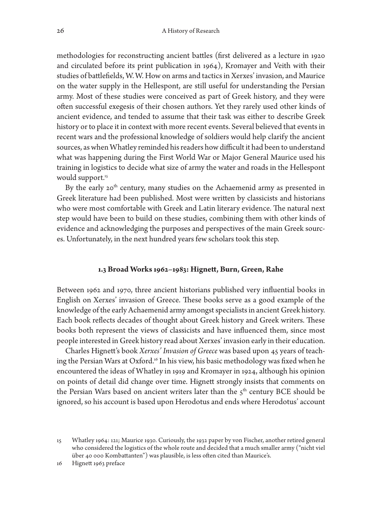methodologies for reconstructing ancient battles (first delivered as a lecture in 1920 and circulated before its print publication in 1964), Kromayer and Veith with their studies of battlefields, W.W. How on arms and tactics in Xerxes' invasion, and Maurice on the water supply in the Hellespont, are still useful for understanding the Persian army. Most of these studies were conceived as part of Greek history, and they were often successful exegesis of their chosen authors. Yet they rarely used other kinds of ancient evidence, and tended to assume that their task was either to describe Greek history or to place it in context with more recent events. Several believed that events in recent wars and the professional knowledge of soldiers would help clarify the ancient sources, as when Whatley reminded his readers how difficult it had been to understand what was happening during the First World War or Major General Maurice used his training in logistics to decide what size of army the water and roads in the Hellespont would support.<sup>15</sup>

By the early 20<sup>th</sup> century, many studies on the Achaemenid army as presented in Greek literature had been published. Most were written by classicists and historians who were most comfortable with Greek and Latin literary evidence. The natural next step would have been to build on these studies, combining them with other kinds of evidence and acknowledging the purposes and perspectives of the main Greek sources. Unfortunately, in the next hundred years few scholars took this step.

#### **1.3 Broad Works 1962–1983: Hignett, Burn, Green, Rahe**

Between 1962 and 1970, three ancient historians published very influential books in English on Xerxes' invasion of Greece. These books serve as a good example of the knowledge of the early Achaemenid army amongst specialists in ancient Greek history. Each book reflects decades of thought about Greek history and Greek writers. These books both represent the views of classicists and have influenced them, since most people interested in Greek history read about Xerxes' invasion early in their education.

Charles Hignett's book *Xerxes' Invasion of Greece* was based upon 45 years of teaching the Persian Wars at Oxford.16 In his view, his basic methodology was fixed when he encountered the ideas of Whatley in 1919 and Kromayer in 1924, although his opinion on points of detail did change over time. Hignett strongly insists that comments on the Persian Wars based on ancient writers later than the  $5<sup>th</sup>$  century BCE should be ignored, so his account is based upon Herodotus and ends where Herodotus' account

<sup>15</sup> Whatley 1964: 121; Maurice 1930. Curiously, the 1932 paper by von Fischer, another retired general who considered the logistics of the whole route and decided that a much smaller army ("nicht viel über 40 000 Kombattanten") was plausible, is less often cited than Maurice's.

<sup>16</sup> Hignett 1963 preface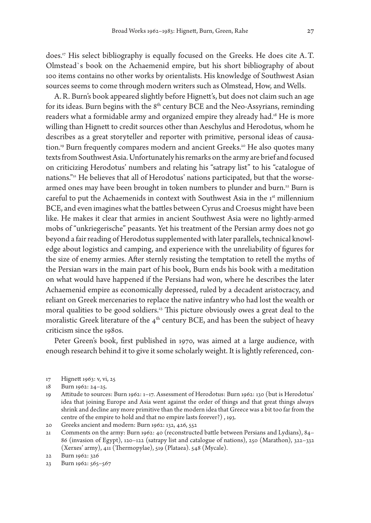does.17 His select bibliography is equally focused on the Greeks. He does cite A.T. Olmstead`s book on the Achaemenid empire, but his short bibliography of about 100 items contains no other works by orientalists. His knowledge of Southwest Asian sources seems to come through modern writers such as Olmstead, How, and Wells.

A.R. Burn's book appeared slightly before Hignett's, but does not claim such an age for its ideas. Burn begins with the  $8<sup>th</sup>$  century BCE and the Neo-Assyrians, reminding readers what a formidable army and organized empire they already had.18 He is more willing than Hignett to credit sources other than Aeschylus and Herodotus, whom he describes as a great storyteller and reporter with primitive, personal ideas of causation.<sup>19</sup> Burn frequently compares modern and ancient Greeks.<sup>20</sup> He also quotes many texts from Southwest Asia. Unfortunately his remarks on the army are brief and focused on criticizing Herodotus' numbers and relating his "satrapy list" to his "catalogue of nations."21 He believes that all of Herodotus' nations participated, but that the worsearmed ones may have been brought in token numbers to plunder and burn.<sup>22</sup> Burn is careful to put the Achaemenids in context with Southwest Asia in the 1<sup>st</sup> millennium BCE, and even imagines what the battles between Cyrus and Croesus might have been like. He makes it clear that armies in ancient Southwest Asia were no lightly-armed mobs of "unkriegerische" peasants. Yet his treatment of the Persian army does not go beyond a fair reading of Herodotus supplemented with later parallels, technical knowledge about logistics and camping, and experience with the unreliability of figures for the size of enemy armies. After sternly resisting the temptation to retell the myths of the Persian wars in the main part of his book, Burn ends his book with a meditation on what would have happened if the Persians had won, where he describes the later Achaemenid empire as economically depressed, ruled by a decadent aristocracy, and reliant on Greek mercenaries to replace the native infantry who had lost the wealth or moral qualities to be good soldiers.<sup>23</sup> This picture obviously owes a great deal to the moralistic Greek literature of the  $4<sup>th</sup>$  century BCE, and has been the subject of heavy criticism since the 1980s.

Peter Green's book, first published in 1970, was aimed at a large audience, with enough research behind it to give it some scholarly weight. It is lightly referenced, con-

17 Hignett 1963: v, vi, 25

- 19 Attitude to sources: Burn 1962: 1–17. Assessment of Herodotus: Burn 1962: 130 (but is Herodotus' idea that joining Europe and Asia went against the order of things and that great things always shrink and decline any more primitive than the modern idea that Greece was a bit too far from the centre of the empire to hold and that no empire lasts forever?) , 193.
- 20 Greeks ancient and modern: Burn 1962: 132, 426, 552

21 Comments on the army: Burn 1962: 40 (reconstructed battle between Persians and Lydians), 84– 86 (invasion of Egypt), 120–122 (satrapy list and catalogue of nations), 250 (Marathon), 322–332 (Xerxes' army), 411 (Thermopylae), 519 (Plataea). 548 (Mycale).

<sup>18</sup> Burn 1962: 24–25.

<sup>22</sup> Burn 1962: 326

<sup>23</sup> Burn 1962: 565–567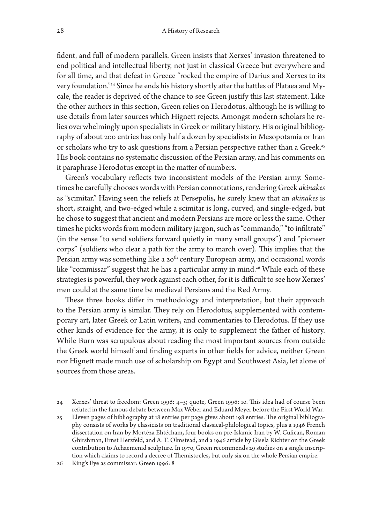fident, and full of modern parallels. Green insists that Xerxes' invasion threatened to end political and intellectual liberty, not just in classical Greece but everywhere and for all time, and that defeat in Greece "rocked the empire of Darius and Xerxes to its very foundation."24 Since he ends his history shortly after the battles of Plataea and Mycale, the reader is deprived of the chance to see Green justify this last statement. Like the other authors in this section, Green relies on Herodotus, although he is willing to use details from later sources which Hignett rejects. Amongst modern scholars he relies overwhelmingly upon specialists in Greek or military history. His original bibliography of about 200 entries has only half a dozen by specialists in Mesopotamia or Iran or scholars who try to ask questions from a Persian perspective rather than a Greek.<sup>25</sup> His book contains no systematic discussion of the Persian army, and his comments on it paraphrase Herodotus except in the matter of numbers.

Green's vocabulary reflects two inconsistent models of the Persian army. Sometimes he carefully chooses words with Persian connotations, rendering Greek *akinakes* as "scimitar." Having seen the reliefs at Persepolis, he surely knew that an *akinakes* is short, straight, and two-edged while a scimitar is long, curved, and single-edged, but he chose to suggest that ancient and modern Persians are more or less the same. Other times he picks words from modern military jargon, such as "commando," "to infiltrate" (in the sense "to send soldiers forward quietly in many small groups") and "pioneer corps" (soldiers who clear a path for the army to march over). This implies that the Persian army was something like a 20<sup>th</sup> century European army, and occasional words like "commissar" suggest that he has a particular army in mind.<sup>26</sup> While each of these strategies is powerful, they work against each other, for it is difficult to see how Xerxes' men could at the same time be medieval Persians and the Red Army.

These three books differ in methodology and interpretation, but their approach to the Persian army is similar. They rely on Herodotus, supplemented with contemporary art, later Greek or Latin writers, and commentaries to Herodotus. If they use other kinds of evidence for the army, it is only to supplement the father of history. While Burn was scrupulous about reading the most important sources from outside the Greek world himself and finding experts in other fields for advice, neither Green nor Hignett made much use of scholarship on Egypt and Southwest Asia, let alone of sources from those areas.

<sup>24</sup> Xerxes' threat to freedom: Green 1996: 4–5; quote, Green 1996: 10. This idea had of course been refuted in the famous debate between Max Weber and Eduard Meyer before the First World War.

<sup>25</sup> Eleven pages of bibliography at 18 entries per page gives about 198 entries. The original bibliography consists of works by classicists on traditional classical-philological topics, plus a 1946 French dissertation on Iran by Mortéza Ehtécham, four books on pre-Islamic Iran by W. Culican, Roman Ghirshman, Ernst Herzfeld, and A.T. Olmstead, and a 1946 article by Gisela Richter on the Greek contribution to Achaemenid sculpture. In 1970, Green recommends 29 studies on a single inscription which claims to record a decree of Themistocles, but only six on the whole Persian empire.

<sup>26</sup> King's Eye as commissar: Green 1996: 8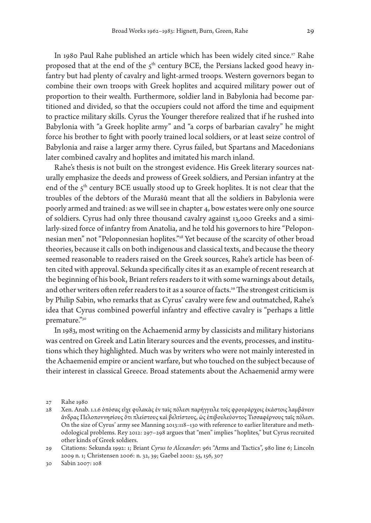In 1980 Paul Rahe published an article which has been widely cited since.<sup>27</sup> Rahe proposed that at the end of the  $5<sup>th</sup>$  century BCE, the Persians lacked good heavy infantry but had plenty of cavalry and light-armed troops. Western governors began to combine their own troops with Greek hoplites and acquired military power out of proportion to their wealth. Furthermore, soldier land in Babylonia had become partitioned and divided, so that the occupiers could not afford the time and equipment to practice military skills. Cyrus the Younger therefore realized that if he rushed into Babylonia with "a Greek hoplite army" and "a corps of barbarian cavalry" he might force his brother to fight with poorly trained local soldiers, or at least seize control of Babylonia and raise a larger army there. Cyrus failed, but Spartans and Macedonians later combined cavalry and hoplites and imitated his march inland.

Rahe's thesis is not built on the strongest evidence. His Greek literary sources naturally emphasize the deeds and prowess of Greek soldiers, and Persian infantry at the end of the 5<sup>th</sup> century BCE usually stood up to Greek hoplites. It is not clear that the troubles of the debtors of the Murašû meant that all the soldiers in Babylonia were poorly armed and trained: as we will see in chapter 4, bow estates were only one source of soldiers. Cyrus had only three thousand cavalry against 13,000 Greeks and a similarly-sized force of infantry from Anatolia, and he told his governors to hire "Peloponnesian men" not "Peloponnesian hoplites."28 Yet because of the scarcity of other broad theories, because it calls on both indigenous and classical texts, and because the theory seemed reasonable to readers raised on the Greek sources, Rahe's article has been often cited with approval. Sekunda specifically cites it as an example of recent research at the beginning of his book, Briant refers readers to it with some warnings about details, and other writers often refer readers to it as a source of facts.<sup>29</sup> The strongest criticism is by Philip Sabin, who remarks that as Cyrus' cavalry were few and outmatched, Rahe's idea that Cyrus combined powerful infantry and effective cavalry is "perhaps a little premature."30

In 1983, most writing on the Achaemenid army by classicists and military historians was centred on Greek and Latin literary sources and the events, processes, and institutions which they highlighted. Much was by writers who were not mainly interested in the Achaemenid empire or ancient warfare, but who touched on the subject because of their interest in classical Greece. Broad statements about the Achaemenid army were

<sup>27</sup> Rahe 1980

<sup>28</sup> Xen. Anab. 1.1.6 ὁπόσας εἶχε φυλακὰς ἐν ταῖς πόλεσι παρήγγειλε τοῖς φρουράρχοις ἑκάστοις λαμβάνειν ἄνδρας Πελοποννησίους ὅτι πλείστους καὶ βελτίστους, ὡς ἐπιβουλεύοντος Τισσαφέρνους ταῖς πόλεσι. On the size of Cyrus' army see Manning 2013:118–130 with reference to earlier literature and methodological problems. Rey 2012: 297–298 argues that "men" implies "hoplites," but Cyrus recruited other kinds of Greek soldiers.

<sup>29</sup> Citations: Sekunda 1992: 1; Briant *Cyrus to Alexander*: 961 "Arms and Tactics", 980 line 6; Lincoln 2009 n. 1; Christensen 2006: n. 32, 39; Gaebel 2002: 55, 156, 307

<sup>30</sup> Sabin 2007: 108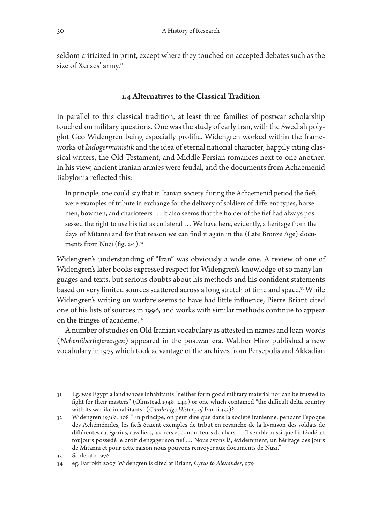seldom criticized in print, except where they touched on accepted debates such as the size of Xerxes' army.<sup>31</sup>

# **1.4 Alternatives to the Classical Tradition**

In parallel to this classical tradition, at least three families of postwar scholarship touched on military questions. One was the study of early Iran, with the Swedish polyglot Geo Widengren being especially prolific. Widengren worked within the frameworks of *Indogermanistik* and the idea of eternal national character, happily citing classical writers, the Old Testament, and Middle Persian romances next to one another. In his view, ancient Iranian armies were feudal, and the documents from Achaemenid Babylonia reflected this:

In principle, one could say that in Iranian society during the Achaemenid period the fiefs were examples of tribute in exchange for the delivery of soldiers of different types, horsemen, bowmen, and charioteers … It also seems that the holder of the fief had always possessed the right to use his fief as collateral … We have here, evidently, a heritage from the days of Mitanni and for that reason we can find it again in the (Late Bronze Age) documents from Nuzi (fig.  $2-1$ ).<sup>32</sup>

Widengren's understanding of "Iran" was obviously a wide one. A review of one of Widengren's later books expressed respect for Widengren's knowledge of so many languages and texts, but serious doubts about his methods and his confident statements based on very limited sources scattered across a long stretch of time and space.<sup>33</sup> While Widengren's writing on warfare seems to have had little influence, Pierre Briant cited one of his lists of sources in 1996, and works with similar methods continue to appear on the fringes of academe.34

A number of studies on Old Iranian vocabulary as attested in names and loan-words (*Nebenüberlieferungen*) appeared in the postwar era. Walther Hinz published a new vocabulary in 1975 which took advantage of the archives from Persepolis and Akkadian

<sup>31</sup> Eg. was Egypt a land whose inhabitants "neither form good military material nor can be trusted to fight for their masters" (Olmstead 1948: 244) or one which contained "the difficult delta country with its warlike inhabitants" (*Cambridge History of Iran* ii.335)?

<sup>32</sup> Widengren 1956a: 108 "En principe, on peut dire que dans la société iranienne, pendant l'époque des Achéménides, les fiefs étaient exemples de tribut en revanche de la livraison des soldats de différentes catégories, cavaliers, archers et conducteurs de chars … Il semble aussi que l'inféodé ait toujours possédé le droit d'engager son fief … Nous avons là, évidemment, un héritage des jours de Mitanni et pour cette raison nous pouvons renvoyer aux documents de Nuzi."

<sup>33</sup> Schlerath 1976

<sup>34</sup> eg. Farrokh 2007. Widengren is cited at Briant, *Cyrus to Alexander*, 979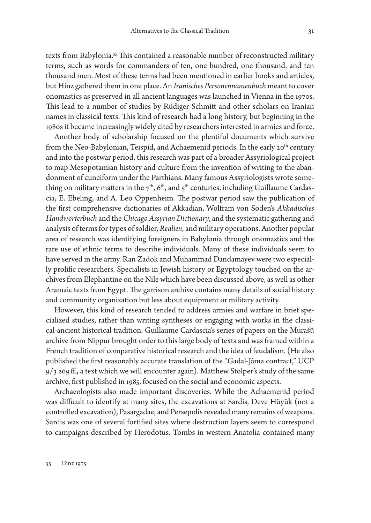texts from Babylonia.35 This contained a reasonable number of reconstructed military terms, such as words for commanders of ten, one hundred, one thousand, and ten thousand men. Most of these terms had been mentioned in earlier books and articles, but Hinz gathered them in one place. An *Iranisches Personennamenbuch* meant to cover onomastics as preserved in all ancient languages was launched in Vienna in the 1970s. This lead to a number of studies by Rüdiger Schmitt and other scholars on Iranian names in classical texts. This kind of research had a long history, but beginning in the 1980s it became increasingly widely cited by researchers interested in armies and force.

Another body of scholarship focused on the plentiful documents which survive from the Neo-Babylonian, Teispid, and Achaemenid periods. In the early 20<sup>th</sup> century and into the postwar period, this research was part of a broader Assyriological project to map Mesopotamian history and culture from the invention of writing to the abandonment of cuneiform under the Parthians. Many famous Assyriologists wrote something on military matters in the  $7<sup>th</sup>$ , 6<sup>th</sup>, and  $5<sup>th</sup>$  centuries, including Guillaume Cardascia, E. Ebeling, and A. Leo Oppenheim. The postwar period saw the publication of the first comprehensive dictionaries of Akkadian, Wolfram von Soden's *Akkadisches Handwörterbuch* and the *Chicago Assyrian Dictionary*, and the systematic gathering and analysis of terms for types of soldier, *Realien*, and military operations. Another popular area of research was identifying foreigners in Babylonia through onomastics and the rare use of ethnic terms to describe individuals. Many of these individuals seem to have served in the army. Ran Zadok and Muhammad Dandamayev were two especially prolific researchers. Specialists in Jewish history or Egyptology touched on the archives from Elephantine on the Nile which have been discussed above, as well as other Aramaic texts from Egypt. The garrison archive contains many details of social history and community organization but less about equipment or military activity.

However, this kind of research tended to address armies and warfare in brief specialized studies, rather than writing syntheses or engaging with works in the classical-ancient historical tradition. Guillaume Cardascia's series of papers on the Murašû archive from Nippur brought order to this large body of texts and was framed within a French tradition of comparative historical research and the idea of feudalism. (He also published the first reasonably accurate translation of the "Gadal-Jâma contract," UCP  $9/3$  269 ff., a text which we will encounter again). Matthew Stolper's study of the same archive, first published in 1985, focused on the social and economic aspects.

Archaeologists also made important discoveries. While the Achaemenid period was difficult to identify at many sites, the excavations at Sardis, Deve Hüyük (not a controlled excavation), Pasargadae, and Persepolis revealed many remains of weapons. Sardis was one of several fortified sites where destruction layers seem to correspond to campaigns described by Herodotus. Tombs in western Anatolia contained many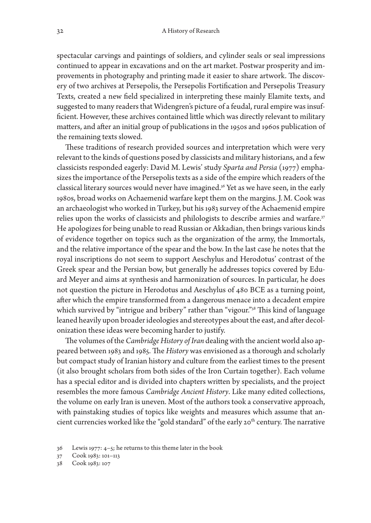spectacular carvings and paintings of soldiers, and cylinder seals or seal impressions continued to appear in excavations and on the art market. Postwar prosperity and improvements in photography and printing made it easier to share artwork. The discovery of two archives at Persepolis, the Persepolis Fortification and Persepolis Treasury Texts, created a new field specialized in interpreting these mainly Elamite texts, and suggested to many readers that Widengren's picture of a feudal, rural empire was insufficient. However, these archives contained little which was directly relevant to military matters, and after an initial group of publications in the 1950s and 1960s publication of the remaining texts slowed.

These traditions of research provided sources and interpretation which were very relevant to the kinds of questions posed by classicists and military historians, and a few classicists responded eagerly: David M. Lewis' study *Sparta and Persia* (1977) emphasizes the importance of the Persepolis texts as a side of the empire which readers of the classical literary sources would never have imagined.<sup>36</sup> Yet as we have seen, in the early 1980s, broad works on Achaemenid warfare kept them on the margins. J.M. Cook was an archaeologist who worked in Turkey, but his 1983 survey of the Achaemenid empire relies upon the works of classicists and philologists to describe armies and warfare.<sup>37</sup> He apologizes for being unable to read Russian or Akkadian, then brings various kinds of evidence together on topics such as the organization of the army, the Immortals, and the relative importance of the spear and the bow. In the last case he notes that the royal inscriptions do not seem to support Aeschylus and Herodotus' contrast of the Greek spear and the Persian bow, but generally he addresses topics covered by Eduard Meyer and aims at synthesis and harmonization of sources. In particular, he does not question the picture in Herodotus and Aeschylus of 480 BCE as a turning point, after which the empire transformed from a dangerous menace into a decadent empire which survived by "intrigue and bribery" rather than "vigour."<sup>38</sup> This kind of language leaned heavily upon broader ideologies and stereotypes about the east, and after decolonization these ideas were becoming harder to justify.

The volumes of the *Cambridge History of Iran* dealing with the ancient world also appeared between 1983 and 1985. The *History* was envisioned as a thorough and scholarly but compact study of Iranian history and culture from the earliest times to the present (it also brought scholars from both sides of the Iron Curtain together). Each volume has a special editor and is divided into chapters written by specialists, and the project resembles the more famous *Cambridge Ancient History*. Like many edited collections, the volume on early Iran is uneven. Most of the authors took a conservative approach, with painstaking studies of topics like weights and measures which assume that ancient currencies worked like the "gold standard" of the early 20<sup>th</sup> century. The narrative

<sup>36</sup> Lewis 1977: 4–5; he returns to this theme later in the book

<sup>37</sup> Cook 1983: 101–113

<sup>38</sup> Cook 1983: 107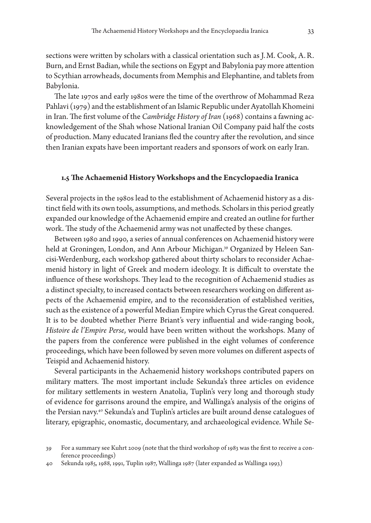sections were written by scholars with a classical orientation such as J.M. Cook, A.R. Burn, and Ernst Badian, while the sections on Egypt and Babylonia pay more attention to Scythian arrowheads, documents from Memphis and Elephantine, and tablets from Babylonia.

The late 1970s and early 1980s were the time of the overthrow of Mohammad Reza Pahlavi (1979) and the establishment of an Islamic Republic under Ayatollah Khomeini in Iran. The first volume of the *Cambridge History of Iran* (1968) contains a fawning acknowledgement of the Shah whose National Iranian Oil Company paid half the costs of production. Many educated Iranians fled the country after the revolution, and since then Iranian expats have been important readers and sponsors of work on early Iran.

#### **1.5 The Achaemenid History Workshops and the Encyclopaedia Iranica**

Several projects in the 1980s lead to the establishment of Achaemenid history as a distinct field with its own tools, assumptions, and methods. Scholars in this period greatly expanded our knowledge of the Achaemenid empire and created an outline for further work. The study of the Achaemenid army was not unaffected by these changes.

Between 1980 and 1990, a series of annual conferences on Achaemenid history were held at Groningen, London, and Ann Arbour Michigan.<sup>39</sup> Organized by Heleen Sancisi-Werdenburg, each workshop gathered about thirty scholars to reconsider Achaemenid history in light of Greek and modern ideology. It is difficult to overstate the influence of these workshops. They lead to the recognition of Achaemenid studies as a distinct specialty, to increased contacts between researchers working on different aspects of the Achaemenid empire, and to the reconsideration of established verities, such as the existence of a powerful Median Empire which Cyrus the Great conquered. It is to be doubted whether Pierre Briant's very influential and wide-ranging book, *Histoire de l'Empire Perse*, would have been written without the workshops. Many of the papers from the conference were published in the eight volumes of conference proceedings, which have been followed by seven more volumes on different aspects of Teispid and Achaemenid history.

Several participants in the Achaemenid history workshops contributed papers on military matters. The most important include Sekunda's three articles on evidence for military settlements in western Anatolia, Tuplin's very long and thorough study of evidence for garrisons around the empire, and Wallinga's analysis of the origins of the Persian navy.40 Sekunda's and Tuplin's articles are built around dense catalogues of literary, epigraphic, onomastic, documentary, and archaeological evidence. While Se-

<sup>39</sup> For a summary see Kuhrt 2009 (note that the third workshop of 1983 was the first to receive a conference proceedings)

<sup>40</sup> Sekunda 1985, 1988, 1991, Tuplin 1987, Wallinga 1987 (later expanded as Wallinga 1993)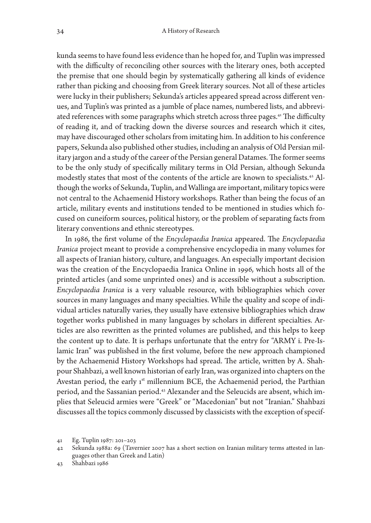kunda seems to have found less evidence than he hoped for, and Tuplin was impressed with the difficulty of reconciling other sources with the literary ones, both accepted the premise that one should begin by systematically gathering all kinds of evidence rather than picking and choosing from Greek literary sources. Not all of these articles were lucky in their publishers; Sekunda's articles appeared spread across different venues, and Tuplin's was printed as a jumble of place names, numbered lists, and abbreviated references with some paragraphs which stretch across three pages.<sup>41</sup> The difficulty of reading it, and of tracking down the diverse sources and research which it cites, may have discouraged other scholars from imitating him. In addition to his conference papers, Sekunda also published other studies, including an analysis of Old Persian military jargon and a study of the career of the Persian general Datames. The former seems to be the only study of specifically military terms in Old Persian, although Sekunda modestly states that most of the contents of the article are known to specialists.42 Although the works of Sekunda, Tuplin, and Wallinga are important, military topics were not central to the Achaemenid History workshops. Rather than being the focus of an article, military events and institutions tended to be mentioned in studies which focused on cuneiform sources, political history, or the problem of separating facts from literary conventions and ethnic stereotypes.

In 1986, the first volume of the *Encyclopaedia Iranica* appeared. The *Encyclopaedia Iranica* project meant to provide a comprehensive encyclopedia in many volumes for all aspects of Iranian history, culture, and languages. An especially important decision was the creation of the Encyclopaedia Iranica Online in 1996, which hosts all of the printed articles (and some unprinted ones) and is accessible without a subscription. *Encyclopaedia Iranica* is a very valuable resource, with bibliographies which cover sources in many languages and many specialties. While the quality and scope of individual articles naturally varies, they usually have extensive bibliographies which draw together works published in many languages by scholars in different specialties. Articles are also rewritten as the printed volumes are published, and this helps to keep the content up to date. It is perhaps unfortunate that the entry for "ARMY i. Pre-Islamic Iran" was published in the first volume, before the new approach championed by the Achaemenid History Workshops had spread. The article, written by A. Shahpour Shahbazi, a well known historian of early Iran, was organized into chapters on the Avestan period, the early  $1<sup>st</sup>$  millennium BCE, the Achaemenid period, the Parthian period, and the Sassanian period.43 Alexander and the Seleucids are absent, which implies that Seleucid armies were "Greek" or "Macedonian" but not "Iranian." Shahbazi discusses all the topics commonly discussed by classicists with the exception of specif-

<sup>41</sup> Eg. Tuplin 1987: 201–203

<sup>42</sup> Sekunda 1988a: 69 (Tavernier 2007 has a short section on Iranian military terms attested in languages other than Greek and Latin)

<sup>43</sup> Shahbazi 1986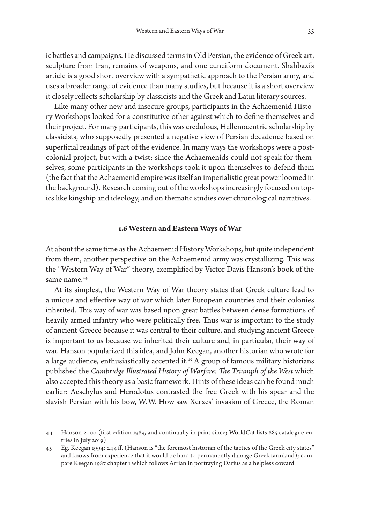ic battles and campaigns. He discussed terms in Old Persian, the evidence of Greek art, sculpture from Iran, remains of weapons, and one cuneiform document. Shahbazi's article is a good short overview with a sympathetic approach to the Persian army, and uses a broader range of evidence than many studies, but because it is a short overview it closely reflects scholarship by classicists and the Greek and Latin literary sources.

Like many other new and insecure groups, participants in the Achaemenid History Workshops looked for a constitutive other against which to define themselves and their project. For many participants, this was credulous, Hellenocentric scholarship by classicists, who supposedly presented a negative view of Persian decadence based on superficial readings of part of the evidence. In many ways the workshops were a postcolonial project, but with a twist: since the Achaemenids could not speak for themselves, some participants in the workshops took it upon themselves to defend them (the fact that the Achaemenid empire was itself an imperialistic great power loomed in the background). Research coming out of the workshops increasingly focused on topics like kingship and ideology, and on thematic studies over chronological narratives.

## **1.6 Western and Eastern Ways of War**

At about the same time as the Achaemenid History Workshops, but quite independent from them, another perspective on the Achaemenid army was crystallizing. This was the "Western Way of War" theory, exemplified by Victor Davis Hanson's book of the same name.44

At its simplest, the Western Way of War theory states that Greek culture lead to a unique and effective way of war which later European countries and their colonies inherited. This way of war was based upon great battles between dense formations of heavily armed infantry who were politically free. Thus war is important to the study of ancient Greece because it was central to their culture, and studying ancient Greece is important to us because we inherited their culture and, in particular, their way of war. Hanson popularized this idea, and John Keegan, another historian who wrote for a large audience, enthusiastically accepted it.<sup>45</sup> A group of famous military historians published the *Cambridge Illustrated History of Warfare: The Triumph of the West* which also accepted this theory as a basic framework. Hints of these ideas can be found much earlier: Aeschylus and Herodotus contrasted the free Greek with his spear and the slavish Persian with his bow, W.W. How saw Xerxes' invasion of Greece, the Roman

<sup>44</sup> Hanson 2000 (first edition 1989, and continually in print since; WorldCat lists 885 catalogue entries in July 2019)

<sup>45</sup> Eg. Keegan 1994: 244 ff. (Hanson is "the foremost historian of the tactics of the Greek city states" and knows from experience that it would be hard to permanently damage Greek farmland); compare Keegan 1987 chapter 1 which follows Arrian in portraying Darius as a helpless coward.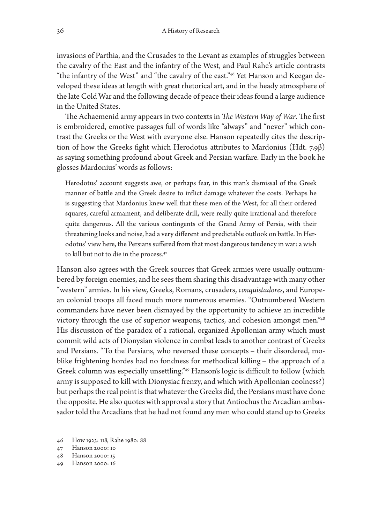invasions of Parthia, and the Crusades to the Levant as examples of struggles between the cavalry of the East and the infantry of the West, and Paul Rahe's article contrasts "the infantry of the West" and "the cavalry of the east."46 Yet Hanson and Keegan developed these ideas at length with great rhetorical art, and in the heady atmosphere of the late Cold War and the following decade of peace their ideas found a large audience in the United States.

The Achaemenid army appears in two contexts in *The Western Way of War*. The first is embroidered, emotive passages full of words like "always" and "never" which contrast the Greeks or the West with everyone else. Hanson repeatedly cites the description of how the Greeks fight which Herodotus attributes to Mardonius (Hdt. 7.9 $\beta$ ) as saying something profound about Greek and Persian warfare. Early in the book he glosses Mardonius' words as follows:

Herodotus' account suggests awe, or perhaps fear, in this man's dismissal of the Greek manner of battle and the Greek desire to inflict damage whatever the costs. Perhaps he is suggesting that Mardonius knew well that these men of the West, for all their ordered squares, careful armament, and deliberate drill, were really quite irrational and therefore quite dangerous. All the various contingents of the Grand Army of Persia, with their threatening looks and noise, had a very different and predictable outlook on battle. In Herodotus' view here, the Persians suffered from that most dangerous tendency in war: a wish to kill but not to die in the process.<sup>47</sup>

Hanson also agrees with the Greek sources that Greek armies were usually outnumbered by foreign enemies, and he sees them sharing this disadvantage with many other "western" armies. In his view, Greeks, Romans, crusaders, *conquistadores*, and European colonial troops all faced much more numerous enemies. "Outnumbered Western commanders have never been dismayed by the opportunity to achieve an incredible victory through the use of superior weapons, tactics, and cohesion amongst men."48 His discussion of the paradox of a rational, organized Apollonian army which must commit wild acts of Dionysian violence in combat leads to another contrast of Greeks and Persians. "To the Persians, who reversed these concepts – their disordered, moblike frightening hordes had no fondness for methodical killing – the approach of a Greek column was especially unsettling."49 Hanson's logic is difficult to follow (which army is supposed to kill with Dionysiac frenzy, and which with Apollonian coolness?) but perhaps the real point is that whatever the Greeks did, the Persians must have done the opposite. He also quotes with approval a story that Antiochus the Arcadian ambassador told the Arcadians that he had not found any men who could stand up to Greeks

<sup>46</sup> How 1923: 118, Rahe 1980: 88

<sup>47</sup> Hanson 2000: 10

<sup>48</sup> Hanson 2000: 15

<sup>49</sup> Hanson 2000: 16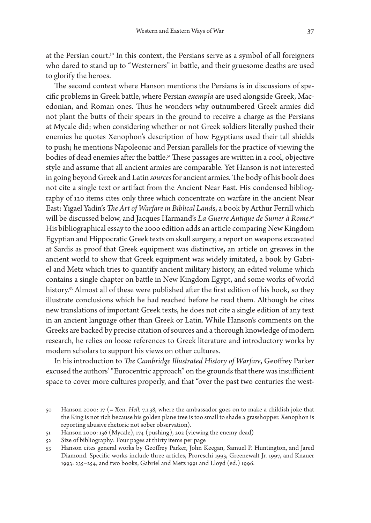at the Persian court.<sup>50</sup> In this context, the Persians serve as a symbol of all foreigners who dared to stand up to "Westerners" in battle, and their gruesome deaths are used to glorify the heroes.

The second context where Hanson mentions the Persians is in discussions of specific problems in Greek battle, where Persian *exempla* are used alongside Greek, Macedonian, and Roman ones. Thus he wonders why outnumbered Greek armies did not plant the butts of their spears in the ground to receive a charge as the Persians at Mycale did; when considering whether or not Greek soldiers literally pushed their enemies he quotes Xenophon's description of how Egyptians used their tall shields to push; he mentions Napoleonic and Persian parallels for the practice of viewing the bodies of dead enemies after the battle.51 These passages are written in a cool, objective style and assume that all ancient armies are comparable. Yet Hanson is not interested in going beyond Greek and Latin *sources* for ancient armies. The body of his book does not cite a single text or artifact from the Ancient Near East. His condensed bibliography of 120 items cites only three which concentrate on warfare in the ancient Near East: Yigael Yadin's *The Art of Warfare in Biblical Land*s, a book by Arthur Ferrill which will be discussed below, and Jacques Harmand's *La Guerre Antique de Sumer à Rome*. 52 His bibliographical essay to the 2000 edition adds an article comparing New Kingdom Egyptian and Hippocratic Greek texts on skull surgery, a report on weapons excavated at Sardis as proof that Greek equipment was distinctive, an article on greaves in the ancient world to show that Greek equipment was widely imitated, a book by Gabriel and Metz which tries to quantify ancient military history, an edited volume which contains a single chapter on battle in New Kingdom Egypt, and some works of world history.<sup>53</sup> Almost all of these were published after the first edition of his book, so they illustrate conclusions which he had reached before he read them. Although he cites new translations of important Greek texts, he does not cite a single edition of any text in an ancient language other than Greek or Latin. While Hanson's comments on the Greeks are backed by precise citation of sources and a thorough knowledge of modern research, he relies on loose references to Greek literature and introductory works by modern scholars to support his views on other cultures.

In his introduction to *The Cambridge Illustrated History of Warfare*, Geoffrey Parker excused the authors' "Eurocentric approach" on the grounds that there was insufficient space to cover more cultures properly, and that "over the past two centuries the west-

<sup>50</sup> Hanson 2000: 17 (= Xen. *Hell.* 7.1.38, where the ambassador goes on to make a childish joke that the King is not rich because his golden plane tree is too small to shade a grasshopper. Xenophon is reporting abusive rhetoric not sober observation).

<sup>51</sup> Hanson 2000: 136 (Mycale), 174 (pushing), 202 (viewing the enemy dead)

<sup>52</sup> Size of bibliography: Four pages at thirty items per page

<sup>53</sup> Hanson cites general works by Geoffrey Parker, John Keegan, Samuel P. Huntington, and Jared Diamond. Specific works include three articles, Proreschi 1993, Greenewalt Jr. 1997, and Knauer 1993: 235–254, and two books, Gabriel and Metz 1991 and Lloyd (ed.) 1996.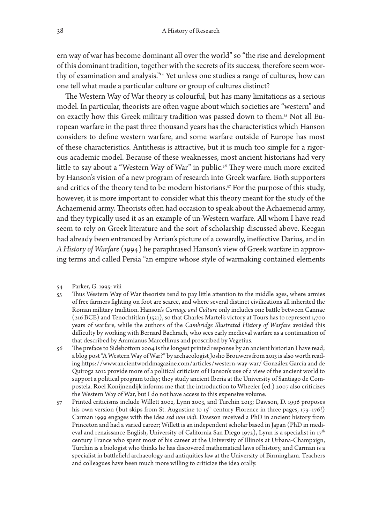ern way of war has become dominant all over the world" so "the rise and development of this dominant tradition, together with the secrets of its success, therefore seem worthy of examination and analysis."54 Yet unless one studies a range of cultures, how can one tell what made a particular culture or group of cultures distinct?

The Western Way of War theory is colourful, but has many limitations as a serious model. In particular, theorists are often vague about which societies are "western" and on exactly how this Greek military tradition was passed down to them.<sup>55</sup> Not all European warfare in the past three thousand years has the characteristics which Hanson considers to define western warfare, and some warfare outside of Europe has most of these characteristics. Antithesis is attractive, but it is much too simple for a rigorous academic model. Because of these weaknesses, most ancient historians had very little to say about a "Western Way of War" in public.<sup>56</sup> They were much more excited by Hanson's vision of a new program of research into Greek warfare. Both supporters and critics of the theory tend to be modern historians.<sup>57</sup> For the purpose of this study, however, it is more important to consider what this theory meant for the study of the Achaemenid army. Theorists often had occasion to speak about the Achaemenid army, and they typically used it as an example of un-Western warfare. All whom I have read seem to rely on Greek literature and the sort of scholarship discussed above. Keegan had already been entranced by Arrian's picture of a cowardly, ineffective Darius, and in *A History of Warfare* (1994) he paraphrased Hanson's view of Greek warfare in approving terms and called Persia "an empire whose style of warmaking contained elements

- 55 Thus Western Way of War theorists tend to pay little attention to the middle ages, where armies of free farmers fighting on foot are scarce, and where several distinct civilizations all inherited the Roman military tradition. Hanson's *Carnage and Culture* only includes one battle between Cannae (216 BCE) and Tenochtitlan (1521), so that Charles Martel's victory at Tours has to represent 1,700 years of warfare, while the authors of the *Cambridge Illustrated History of Warfare* avoided this difficulty by working with Bernard Bachrach, who sees early medieval warfare as a continuation of that described by Ammianus Marcellinus and proscribed by Vegetius.
- 56 The preface to Sidebottom 2004 is the longest printed response by an ancient historian I have read; a blog post "A Western Way of War?" by archaeologist Josho Brouwers from 2013 is also worth reading <https://www.ancientworldmagazine.com/articles/western-way-war/> González García and de Quiroga 2012 provide more of a political criticism of Hanson's use of a view of the ancient world to support a political program today; they study ancient Iberia at the University of Santiago de Compostela. Roel Konijnendijk informs me that the introduction to Wheeler (ed.) 2007 also criticizes the Western Way of War, but I do not have access to this expensive volume.
- 57 Printed criticisms include Willett 2002, Lynn 2003, and Turchin 2013; Dawson, D. 1996 proposes his own version (but skips from St. Augustine to  $15^{th}$  century Florence in three pages,  $173-176!)$ Carman 1999 engages with the idea *sed non vidi*. Dawson received a PhD in ancient history from Princeton and had a varied career; Willett is an independent scholar based in Japan (PhD in medieval and renaissance English, University of California San Diego 1972), Lynn is a specialist in 17<sup>th</sup> century France who spent most of his career at the University of Illinois at Urbana-Champaign, Turchin is a biologist who thinks he has discovered mathematical laws of history, and Carman is a specialist in battlefield archaeology and antiquities law at the University of Birmingham. Teachers and colleagues have been much more willing to criticize the idea orally.

<sup>54</sup> Parker, G. 1995: viii